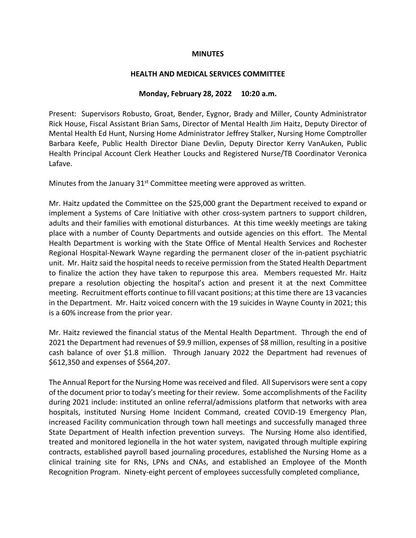### **MINUTES**

#### **HEALTH AND MEDICAL SERVICES COMMITTEE**

### **Monday, February 28, 2022 10:20 a.m.**

Present: Supervisors Robusto, Groat, Bender, Eygnor, Brady and Miller, County Administrator Rick House, Fiscal Assistant Brian Sams, Director of Mental Health Jim Haitz, Deputy Director of Mental Health Ed Hunt, Nursing Home Administrator Jeffrey Stalker, Nursing Home Comptroller Barbara Keefe, Public Health Director Diane Devlin, Deputy Director Kerry VanAuken, Public Health Principal Account Clerk Heather Loucks and Registered Nurse/TB Coordinator Veronica Lafave.

Minutes from the January 31<sup>st</sup> Committee meeting were approved as written.

Mr. Haitz updated the Committee on the \$25,000 grant the Department received to expand or implement a Systems of Care Initiative with other cross-system partners to support children, adults and their families with emotional disturbances. At this time weekly meetings are taking place with a number of County Departments and outside agencies on this effort. The Mental Health Department is working with the State Office of Mental Health Services and Rochester Regional Hospital-Newark Wayne regarding the permanent closer of the in-patient psychiatric unit. Mr. Haitz said the hospital needs to receive permission from the Stated Health Department to finalize the action they have taken to repurpose this area. Members requested Mr. Haitz prepare a resolution objecting the hospital's action and present it at the next Committee meeting. Recruitment efforts continue to fill vacant positions; at this time there are 13 vacancies in the Department. Mr. Haitz voiced concern with the 19 suicides in Wayne County in 2021; this is a 60% increase from the prior year.

Mr. Haitz reviewed the financial status of the Mental Health Department. Through the end of 2021 the Department had revenues of \$9.9 million, expenses of \$8 million, resulting in a positive cash balance of over \$1.8 million. Through January 2022 the Department had revenues of \$612,350 and expenses of \$564,207.

The Annual Report for the Nursing Home was received and filed. All Supervisors were sent a copy of the document prior to today's meeting for their review. Some accomplishments of the Facility during 2021 include: instituted an online referral/admissions platform that networks with area hospitals, instituted Nursing Home Incident Command, created COVID-19 Emergency Plan, increased Facility communication through town hall meetings and successfully managed three State Department of Health infection prevention surveys. The Nursing Home also identified, treated and monitored legionella in the hot water system, navigated through multiple expiring contracts, established payroll based journaling procedures, established the Nursing Home as a clinical training site for RNs, LPNs and CNAs, and established an Employee of the Month Recognition Program. Ninety-eight percent of employees successfully completed compliance,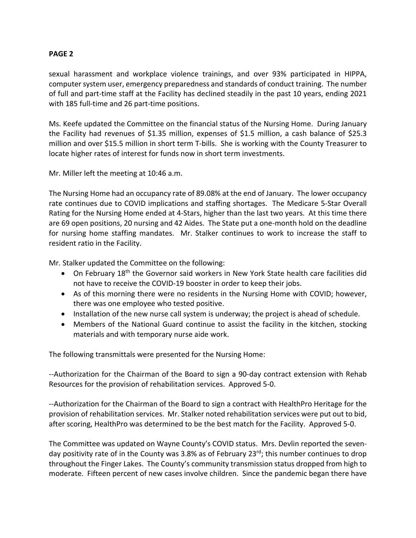sexual harassment and workplace violence trainings, and over 93% participated in HIPPA, computer system user, emergency preparedness and standards of conduct training. The number of full and part-time staff at the Facility has declined steadily in the past 10 years, ending 2021 with 185 full-time and 26 part-time positions.

Ms. Keefe updated the Committee on the financial status of the Nursing Home. During January the Facility had revenues of \$1.35 million, expenses of \$1.5 million, a cash balance of \$25.3 million and over \$15.5 million in short term T-bills. She is working with the County Treasurer to locate higher rates of interest for funds now in short term investments.

Mr. Miller left the meeting at 10:46 a.m.

The Nursing Home had an occupancy rate of 89.08% at the end of January. The lower occupancy rate continues due to COVID implications and staffing shortages. The Medicare 5-Star Overall Rating for the Nursing Home ended at 4-Stars, higher than the last two years. At this time there are 69 open positions, 20 nursing and 42 Aides. The State put a one-month hold on the deadline for nursing home staffing mandates. Mr. Stalker continues to work to increase the staff to resident ratio in the Facility.

Mr. Stalker updated the Committee on the following:

- On February 18<sup>th</sup> the Governor said workers in New York State health care facilities did not have to receive the COVID-19 booster in order to keep their jobs.
- As of this morning there were no residents in the Nursing Home with COVID; however, there was one employee who tested positive.
- Installation of the new nurse call system is underway; the project is ahead of schedule.
- Members of the National Guard continue to assist the facility in the kitchen, stocking materials and with temporary nurse aide work.

The following transmittals were presented for the Nursing Home:

--Authorization for the Chairman of the Board to sign a 90-day contract extension with Rehab Resources for the provision of rehabilitation services. Approved 5-0.

--Authorization for the Chairman of the Board to sign a contract with HealthPro Heritage for the provision of rehabilitation services. Mr. Stalker noted rehabilitation services were put out to bid, after scoring, HealthPro was determined to be the best match for the Facility. Approved 5-0.

The Committee was updated on Wayne County's COVID status. Mrs. Devlin reported the sevenday positivity rate of in the County was 3.8% as of February 23<sup>rd</sup>; this number continues to drop throughout the Finger Lakes. The County's community transmission status dropped from high to moderate. Fifteen percent of new cases involve children. Since the pandemic began there have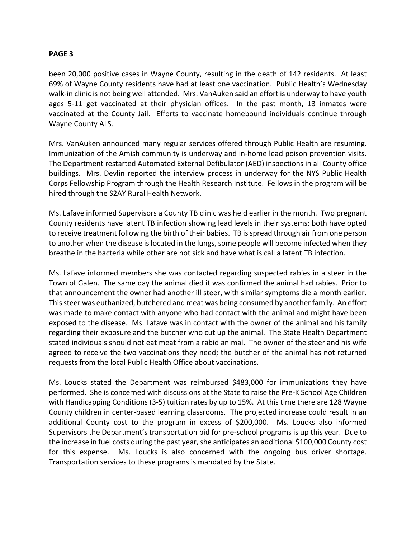been 20,000 positive cases in Wayne County, resulting in the death of 142 residents. At least 69% of Wayne County residents have had at least one vaccination. Public Health's Wednesday walk-in clinic is not being well attended. Mrs. VanAuken said an effort is underway to have youth ages 5-11 get vaccinated at their physician offices. In the past month, 13 inmates were vaccinated at the County Jail. Efforts to vaccinate homebound individuals continue through Wayne County ALS.

Mrs. VanAuken announced many regular services offered through Public Health are resuming. Immunization of the Amish community is underway and in-home lead poison prevention visits. The Department restarted Automated External Defibulator (AED) inspections in all County office buildings. Mrs. Devlin reported the interview process in underway for the NYS Public Health Corps Fellowship Program through the Health Research Institute. Fellows in the program will be hired through the S2AY Rural Health Network.

Ms. Lafave informed Supervisors a County TB clinic was held earlier in the month. Two pregnant County residents have latent TB infection showing lead levels in their systems; both have opted to receive treatment following the birth of their babies. TB is spread through air from one person to another when the disease is located in the lungs, some people will become infected when they breathe in the bacteria while other are not sick and have what is call a latent TB infection.

Ms. Lafave informed members she was contacted regarding suspected rabies in a steer in the Town of Galen. The same day the animal died it was confirmed the animal had rabies. Prior to that announcement the owner had another ill steer, with similar symptoms die a month earlier. This steer was euthanized, butchered and meat was being consumed by another family. An effort was made to make contact with anyone who had contact with the animal and might have been exposed to the disease. Ms. Lafave was in contact with the owner of the animal and his family regarding their exposure and the butcher who cut up the animal. The State Health Department stated individuals should not eat meat from a rabid animal. The owner of the steer and his wife agreed to receive the two vaccinations they need; the butcher of the animal has not returned requests from the local Public Health Office about vaccinations.

Ms. Loucks stated the Department was reimbursed \$483,000 for immunizations they have performed. She is concerned with discussions at the State to raise the Pre-K School Age Children with Handicapping Conditions (3-5) tuition rates by up to 15%. At this time there are 128 Wayne County children in center-based learning classrooms. The projected increase could result in an additional County cost to the program in excess of \$200,000. Ms. Loucks also informed Supervisors the Department's transportation bid for pre-school programs is up this year. Due to the increase in fuel costs during the past year, she anticipates an additional \$100,000 County cost for this expense. Ms. Loucks is also concerned with the ongoing bus driver shortage. Transportation services to these programs is mandated by the State.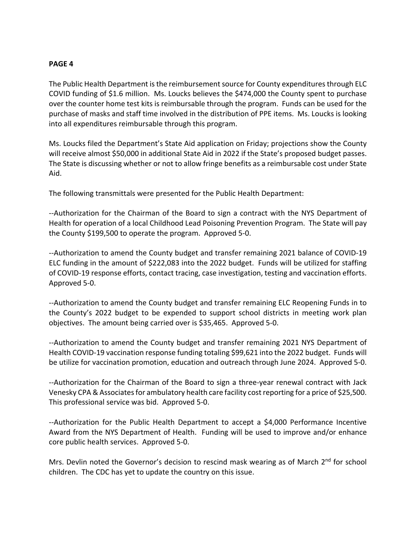The Public Health Department is the reimbursement source for County expenditures through ELC COVID funding of \$1.6 million. Ms. Loucks believes the \$474,000 the County spent to purchase over the counter home test kits is reimbursable through the program. Funds can be used for the purchase of masks and staff time involved in the distribution of PPE items. Ms. Loucks is looking into all expenditures reimbursable through this program.

Ms. Loucks filed the Department's State Aid application on Friday; projections show the County will receive almost \$50,000 in additional State Aid in 2022 if the State's proposed budget passes. The State is discussing whether or not to allow fringe benefits as a reimbursable cost under State Aid.

The following transmittals were presented for the Public Health Department:

--Authorization for the Chairman of the Board to sign a contract with the NYS Department of Health for operation of a local Childhood Lead Poisoning Prevention Program. The State will pay the County \$199,500 to operate the program. Approved 5-0.

--Authorization to amend the County budget and transfer remaining 2021 balance of COVID-19 ELC funding in the amount of \$222,083 into the 2022 budget. Funds will be utilized for staffing of COVID-19 response efforts, contact tracing, case investigation, testing and vaccination efforts. Approved 5-0.

--Authorization to amend the County budget and transfer remaining ELC Reopening Funds in to the County's 2022 budget to be expended to support school districts in meeting work plan objectives. The amount being carried over is \$35,465. Approved 5-0.

--Authorization to amend the County budget and transfer remaining 2021 NYS Department of Health COVID-19 vaccination response funding totaling \$99,621 into the 2022 budget. Funds will be utilize for vaccination promotion, education and outreach through June 2024. Approved 5-0.

--Authorization for the Chairman of the Board to sign a three-year renewal contract with Jack Venesky CPA & Associates for ambulatory health care facility cost reporting for a price of \$25,500. This professional service was bid. Approved 5-0.

--Authorization for the Public Health Department to accept a \$4,000 Performance Incentive Award from the NYS Department of Health. Funding will be used to improve and/or enhance core public health services. Approved 5-0.

Mrs. Devlin noted the Governor's decision to rescind mask wearing as of March 2<sup>nd</sup> for school children. The CDC has yet to update the country on this issue.